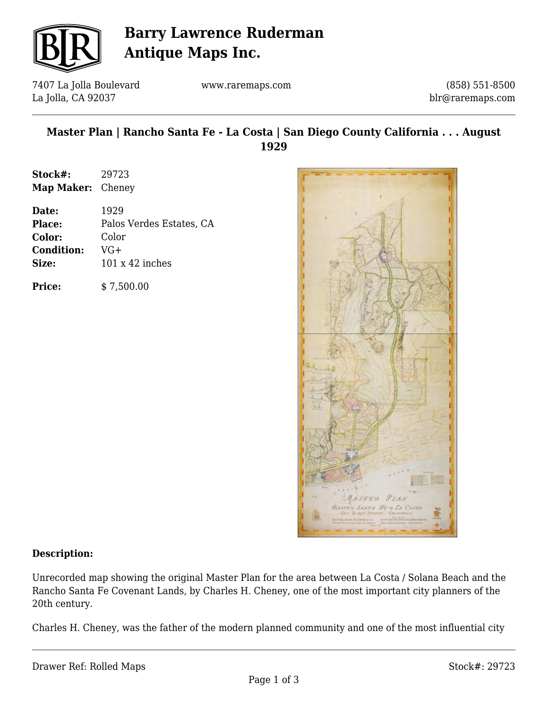

# **Barry Lawrence Ruderman Antique Maps Inc.**

7407 La Jolla Boulevard La Jolla, CA 92037

www.raremaps.com

(858) 551-8500 blr@raremaps.com

### **Master Plan | Rancho Santa Fe - La Costa | San Diego County California . . . August 1929**

| Stock#:                  | 29723 |
|--------------------------|-------|
| <b>Map Maker:</b> Cheney |       |

| Date:             | 1929                     |
|-------------------|--------------------------|
| <b>Place:</b>     | Palos Verdes Estates, CA |
| Color:            | Color                    |
| <b>Condition:</b> | VG+                      |
| Size:             | $101 \times 42$ inches   |
|                   |                          |

**Price:**  $$ 7,500.00$ 



#### **Description:**

Unrecorded map showing the original Master Plan for the area between La Costa / Solana Beach and the Rancho Santa Fe Covenant Lands, by Charles H. Cheney, one of the most important city planners of the 20th century.

Charles H. Cheney, was the father of the modern planned community and one of the most influential city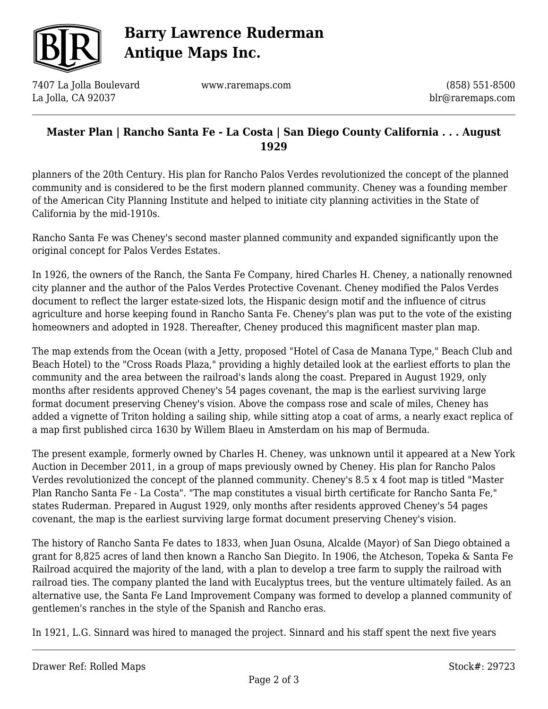

# **Barry Lawrence Ruderman Antique Maps Inc.**

7407 La Jolla Boulevard La Jolla, CA 92037

www.raremaps.com

(858) 551-8500 blr@raremaps.com

### **Master Plan | Rancho Santa Fe - La Costa | San Diego County California . . . August 1929**

planners of the 20th Century. His plan for Rancho Palos Verdes revolutionized the concept of the planned community and is considered to be the first modern planned community. Cheney was a founding member of the American City Planning Institute and helped to initiate city planning activities in the State of California by the mid-1910s.

Rancho Santa Fe was Cheney's second master planned community and expanded significantly upon the original concept for Palos Verdes Estates.

In 1926, the owners of the Ranch, the Santa Fe Company, hired Charles H. Cheney, a nationally renowned city planner and the author of the Palos Verdes Protective Covenant. Cheney modified the Palos Verdes document to reflect the larger estate-sized lots, the Hispanic design motif and the influence of citrus agriculture and horse keeping found in Rancho Santa Fe. Cheney's plan was put to the vote of the existing homeowners and adopted in 1928. Thereafter, Cheney produced this magnificent master plan map.

The map extends from the Ocean (with a Jetty, proposed "Hotel of Casa de Manana Type," Beach Club and Beach Hotel) to the "Cross Roads Plaza," providing a highly detailed look at the earliest efforts to plan the community and the area between the railroad's lands along the coast. Prepared in August 1929, only months after residents approved Cheney's 54 pages covenant, the map is the earliest surviving large format document preserving Cheney's vision. Above the compass rose and scale of miles, Cheney has added a vignette of Triton holding a sailing ship, while sitting atop a coat of arms, a nearly exact replica of a map first published circa 1630 by Willem Blaeu in Amsterdam on his map of Bermuda.

The present example, formerly owned by Charles H. Cheney, was unknown until it appeared at a New York Auction in December 2011, in a group of maps previously owned by Cheney. His plan for Rancho Palos Verdes revolutionized the concept of the planned community. Cheney's 8.5 x 4 foot map is titled "Master Plan Rancho Santa Fe - La Costa". "The map constitutes a visual birth certificate for Rancho Santa Fe," states Ruderman. Prepared in August 1929, only months after residents approved Cheney's 54 pages covenant, the map is the earliest surviving large format document preserving Cheney's vision.

The history of Rancho Santa Fe dates to 1833, when Juan Osuna, Alcalde (Mayor) of San Diego obtained a grant for 8,825 acres of land then known a Rancho San Diegito. In 1906, the Atcheson, Topeka & Santa Fe Railroad acquired the majority of the land, with a plan to develop a tree farm to supply the railroad with railroad ties. The company planted the land with Eucalyptus trees, but the venture ultimately failed. As an alternative use, the Santa Fe Land Improvement Company was formed to develop a planned community of gentlemen's ranches in the style of the Spanish and Rancho eras.

In 1921, L.G. Sinnard was hired to managed the project. Sinnard and his staff spent the next five years